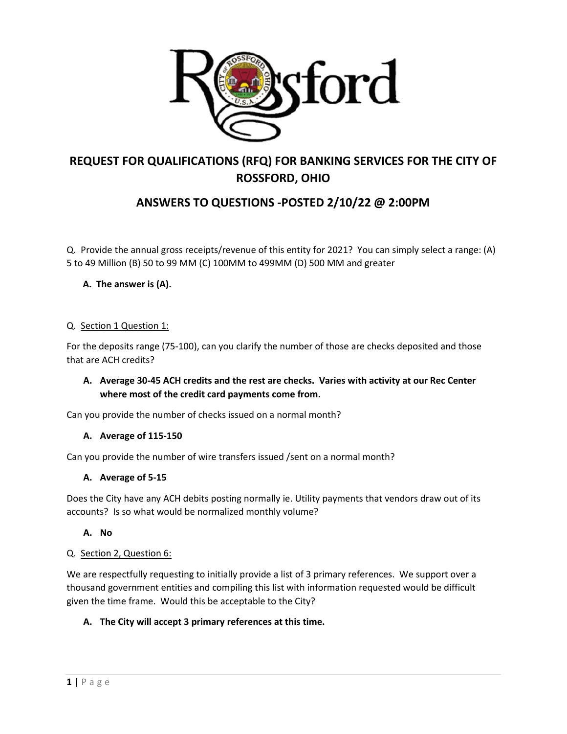

# **REQUEST FOR QUALIFICATIONS (RFQ) FOR BANKING SERVICES FOR THE CITY OF ROSSFORD, OHIO**

## **ANSWERS TO QUESTIONS -POSTED 2/10/22 @ 2:00PM**

Q. Provide the annual gross receipts/revenue of this entity for 2021? You can simply select a range: (A) 5 to 49 Million (B) 50 to 99 MM (C) 100MM to 499MM (D) 500 MM and greater

## **A. The answer is (A).**

#### Q. Section 1 Question 1:

For the deposits range (75-100), can you clarify the number of those are checks deposited and those that are ACH credits?

## **A. Average 30-45 ACH credits and the rest are checks. Varies with activity at our Rec Center where most of the credit card payments come from.**

Can you provide the number of checks issued on a normal month?

#### **A. Average of 115-150**

Can you provide the number of wire transfers issued /sent on a normal month?

#### **A. Average of 5-15**

Does the City have any ACH debits posting normally ie. Utility payments that vendors draw out of its accounts? Is so what would be normalized monthly volume?

## **A. No**

#### Q. Section 2, Question 6:

We are respectfully requesting to initially provide a list of 3 primary references. We support over a thousand government entities and compiling this list with information requested would be difficult given the time frame. Would this be acceptable to the City?

## **A. The City will accept 3 primary references at this time.**